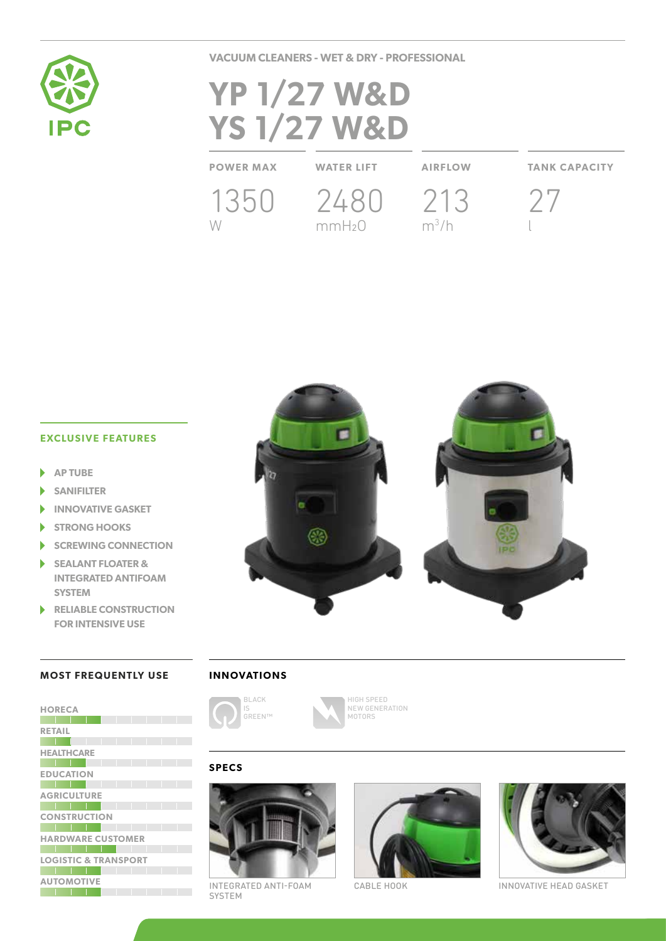

**VACUUM CLEANERS - WET & DRY - PROFESSIONAL**

# **YP 1/27 W&D YS 1/27 W&D**

**POWER MAX WATER LIFT AIRFLOW TANK CAPACITY**

W

1350 2480 213 mmH2O

 $m^3/h$ 



**EXCLUSIVE FEATURES**

- **AP TUBE**
- **SANIFILTER**
- **INNOVATIVE GASKET**
- **STRONG HOOKS**
- **SCREWING CONNECTION**
- **SEALANT FLOATER & INTEGRATED ANTIFOAM SYSTEM**
- ь **RELIABLE CONSTRUCTION FOR INTENSIVE USE**



### **MOST FREQUENTLY USE**

| <b>HORECA</b>                   |  |  |  |  |
|---------------------------------|--|--|--|--|
|                                 |  |  |  |  |
| <b>RETAIL</b>                   |  |  |  |  |
|                                 |  |  |  |  |
| <b>HEALTHCARE</b>               |  |  |  |  |
|                                 |  |  |  |  |
| <b>EDUCATION</b>                |  |  |  |  |
|                                 |  |  |  |  |
| <b>AGRICULTURE</b>              |  |  |  |  |
|                                 |  |  |  |  |
| <b>CONSTRUCTION</b>             |  |  |  |  |
|                                 |  |  |  |  |
| <b>HARDWARE CUSTOMER</b>        |  |  |  |  |
|                                 |  |  |  |  |
| <b>LOGISTIC &amp; TRANSPORT</b> |  |  |  |  |
|                                 |  |  |  |  |
| <b>AUTOMOTIVE</b>               |  |  |  |  |
|                                 |  |  |  |  |

## **INNOVATIONS**



HIGH SPEED NEW GENERATION MOTORS

## **SPECS**



INTEGRATED ANTI-FOAM CABLE HOOK INNOVATIVE HEAD GASKET SYSTEM



CABLE HOOK